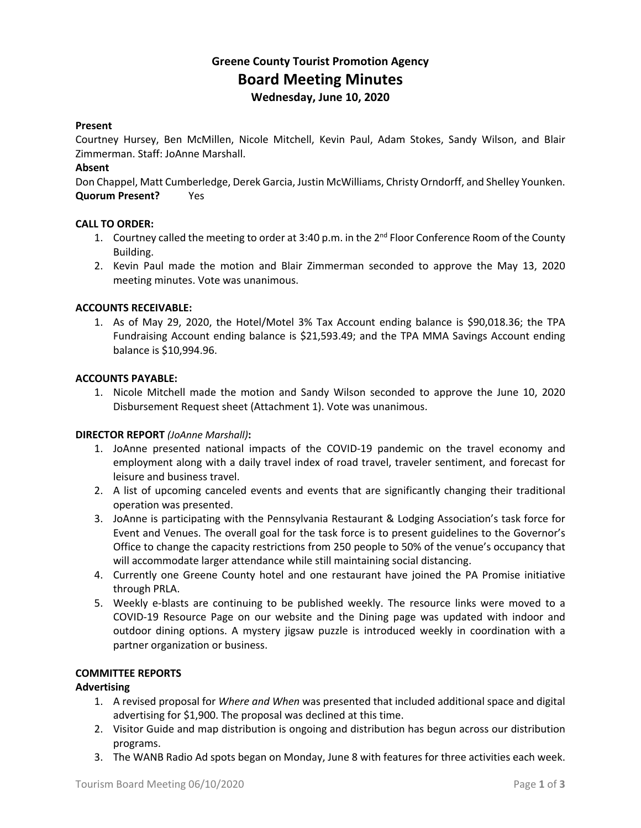## **Greene County Tourist Promotion Agency Board Meeting Minutes Wednesday, June 10, 2020**

#### **Present**

Courtney Hursey, Ben McMillen, Nicole Mitchell, Kevin Paul, Adam Stokes, Sandy Wilson, and Blair Zimmerman. Staff: JoAnne Marshall.

#### **Absent**

Don Chappel, Matt Cumberledge, Derek Garcia, Justin McWilliams, Christy Orndorff, and Shelley Younken. **Quorum Present?** Yes

#### **CALL TO ORDER:**

- 1. Courtney called the meeting to order at 3:40 p.m. in the  $2^{nd}$  Floor Conference Room of the County Building.
- 2. Kevin Paul made the motion and Blair Zimmerman seconded to approve the May 13, 2020 meeting minutes. Vote was unanimous.

#### **ACCOUNTS RECEIVABLE:**

1. As of May 29, 2020, the Hotel/Motel 3% Tax Account ending balance is \$90,018.36; the TPA Fundraising Account ending balance is \$21,593.49; and the TPA MMA Savings Account ending balance is \$10,994.96.

#### **ACCOUNTS PAYABLE:**

1. Nicole Mitchell made the motion and Sandy Wilson seconded to approve the June 10, 2020 Disbursement Request sheet (Attachment 1). Vote was unanimous.

#### **DIRECTOR REPORT** *(JoAnne Marshall)***:**

- 1. JoAnne presented national impacts of the COVID-19 pandemic on the travel economy and employment along with a daily travel index of road travel, traveler sentiment, and forecast for leisure and business travel.
- 2. A list of upcoming canceled events and events that are significantly changing their traditional operation was presented.
- 3. JoAnne is participating with the Pennsylvania Restaurant & Lodging Association's task force for Event and Venues. The overall goal for the task force is to present guidelines to the Governor's Office to change the capacity restrictions from 250 people to 50% of the venue's occupancy that will accommodate larger attendance while still maintaining social distancing.
- 4. Currently one Greene County hotel and one restaurant have joined the PA Promise initiative through PRLA.
- 5. Weekly e-blasts are continuing to be published weekly. The resource links were moved to a COVID-19 Resource Page on our website and the Dining page was updated with indoor and outdoor dining options. A mystery jigsaw puzzle is introduced weekly in coordination with a partner organization or business.

### **COMMITTEE REPORTS**

## **Advertising**

- 1. A revised proposal for *Where and When* was presented that included additional space and digital advertising for \$1,900. The proposal was declined at this time.
- 2. Visitor Guide and map distribution is ongoing and distribution has begun across our distribution programs.
- 3. The WANB Radio Ad spots began on Monday, June 8 with features for three activities each week.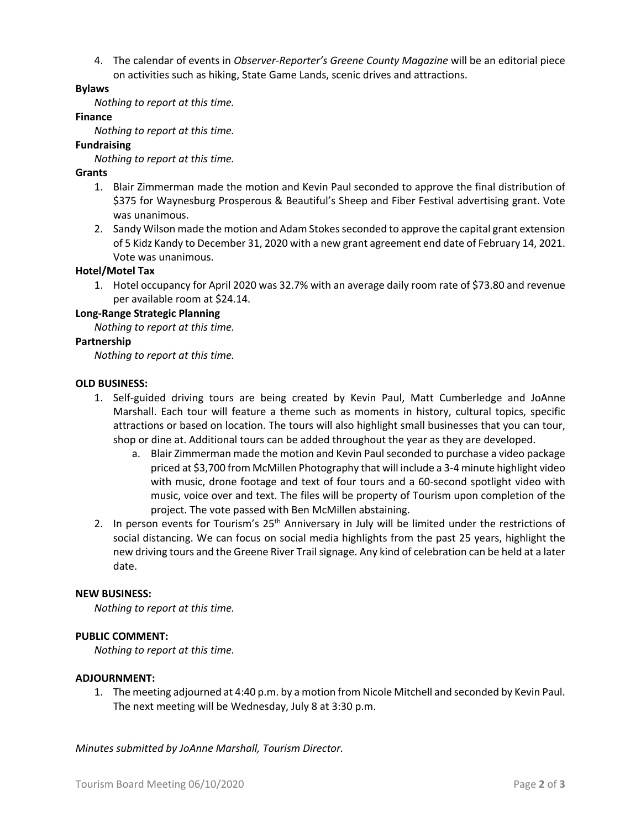4. The calendar of events in *Observer-Reporter's Greene County Magazine* will be an editorial piece on activities such as hiking, State Game Lands, scenic drives and attractions.

## **Bylaws**

*Nothing to report at this time.*

#### **Finance**

*Nothing to report at this time.*

## **Fundraising**

*Nothing to report at this time.*

#### **Grants**

- 1. Blair Zimmerman made the motion and Kevin Paul seconded to approve the final distribution of \$375 for Waynesburg Prosperous & Beautiful's Sheep and Fiber Festival advertising grant. Vote was unanimous.
- 2. Sandy Wilson made the motion and Adam Stokes seconded to approve the capital grant extension of 5 Kidz Kandy to December 31, 2020 with a new grant agreement end date of February 14, 2021. Vote was unanimous.

#### **Hotel/Motel Tax**

1. Hotel occupancy for April 2020 was 32.7% with an average daily room rate of \$73.80 and revenue per available room at \$24.14.

## **Long-Range Strategic Planning**

*Nothing to report at this time.*

## **Partnership**

*Nothing to report at this time.*

#### **OLD BUSINESS:**

- 1. Self-guided driving tours are being created by Kevin Paul, Matt Cumberledge and JoAnne Marshall. Each tour will feature a theme such as moments in history, cultural topics, specific attractions or based on location. The tours will also highlight small businesses that you can tour, shop or dine at. Additional tours can be added throughout the year as they are developed.
	- a. Blair Zimmerman made the motion and Kevin Paul seconded to purchase a video package priced at \$3,700 from McMillen Photography that will include a 3-4 minute highlight video with music, drone footage and text of four tours and a 60-second spotlight video with music, voice over and text. The files will be property of Tourism upon completion of the project. The vote passed with Ben McMillen abstaining.
- 2. In person events for Tourism's  $25<sup>th</sup>$  Anniversary in July will be limited under the restrictions of social distancing. We can focus on social media highlights from the past 25 years, highlight the new driving tours and the Greene River Trail signage. Any kind of celebration can be held at a later date.

#### **NEW BUSINESS:**

*Nothing to report at this time.*

#### **PUBLIC COMMENT:**

*Nothing to report at this time.*

#### **ADJOURNMENT:**

1. The meeting adjourned at 4:40 p.m. by a motion from Nicole Mitchell and seconded by Kevin Paul. The next meeting will be Wednesday, July 8 at 3:30 p.m.

*Minutes submitted by JoAnne Marshall, Tourism Director.*